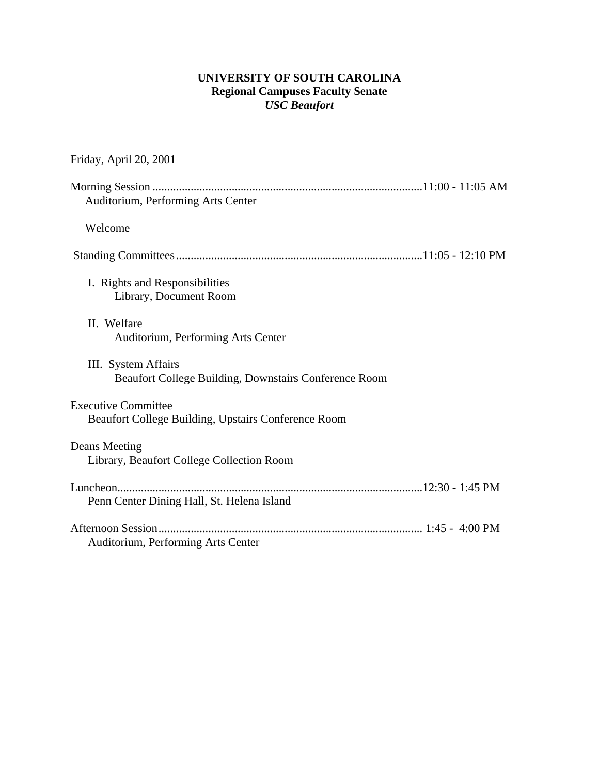### **UNIVERSITY OF SOUTH CAROLINA Regional Campuses Faculty Senate**  *USC Beaufort*

## Friday, April 20, 2001

| Auditorium, Performing Arts Center                                                |  |
|-----------------------------------------------------------------------------------|--|
| Welcome                                                                           |  |
|                                                                                   |  |
| I. Rights and Responsibilities<br>Library, Document Room                          |  |
| II. Welfare<br>Auditorium, Performing Arts Center                                 |  |
| III. System Affairs<br>Beaufort College Building, Downstairs Conference Room      |  |
| <b>Executive Committee</b><br>Beaufort College Building, Upstairs Conference Room |  |
| Deans Meeting<br>Library, Beaufort College Collection Room                        |  |
| Penn Center Dining Hall, St. Helena Island                                        |  |
| Auditorium, Performing Arts Center                                                |  |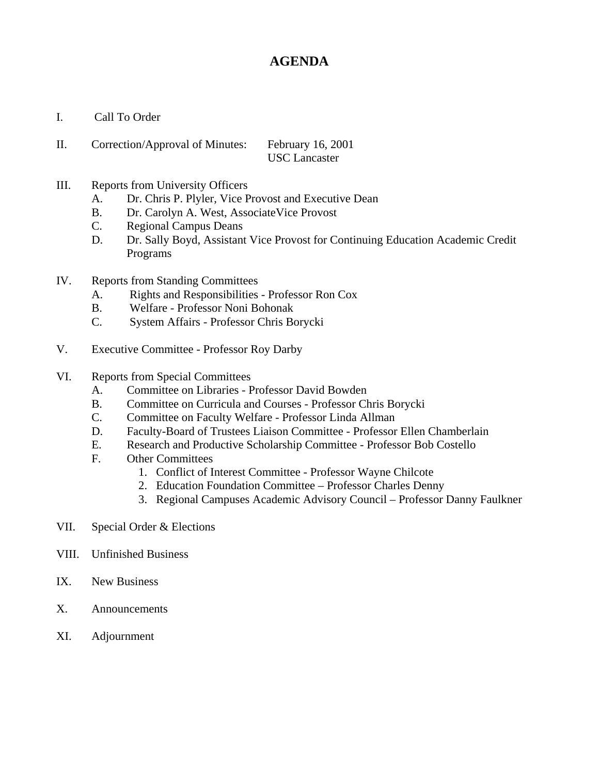## **AGENDA**

- I. Call To Order
- II. Correction/Approval of Minutes: February 16, 2001 USC Lancaster
- III. Reports from University Officers
	- A. Dr. Chris P. Plyler, Vice Provost and Executive Dean
	- B. Dr. Carolyn A. West, AssociateVice Provost
	- C. Regional Campus Deans
	- D. Dr. Sally Boyd, Assistant Vice Provost for Continuing Education Academic Credit Programs
- IV. Reports from Standing Committees
	- A. Rights and Responsibilities Professor Ron Cox
	- B. Welfare Professor Noni Bohonak
	- C. System Affairs Professor Chris Borycki
- V. Executive Committee Professor Roy Darby
- VI. Reports from Special Committees
	- A. Committee on Libraries Professor David Bowden
	- B. Committee on Curricula and Courses Professor Chris Borycki
	- C. Committee on Faculty Welfare Professor Linda Allman
	- D. Faculty-Board of Trustees Liaison Committee Professor Ellen Chamberlain
	- E. Research and Productive Scholarship Committee Professor Bob Costello
	- F. Other Committees
		- 1. Conflict of Interest Committee Professor Wayne Chilcote
		- 2. Education Foundation Committee Professor Charles Denny
		- 3. Regional Campuses Academic Advisory Council Professor Danny Faulkner
- VII. Special Order & Elections
- VIII. Unfinished Business
- IX. New Business
- X. Announcements
- XI. Adjournment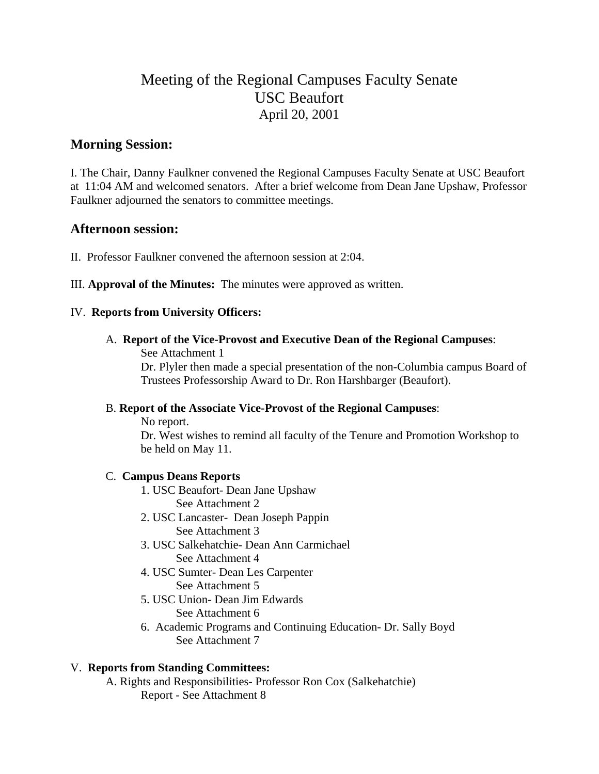## Meeting of the Regional Campuses Faculty Senate USC Beaufort April 20, 2001

## **Morning Session:**

I. The Chair, Danny Faulkner convened the Regional Campuses Faculty Senate at USC Beaufort at 11:04 AM and welcomed senators. After a brief welcome from Dean Jane Upshaw, Professor Faulkner adjourned the senators to committee meetings.

### **Afternoon session:**

- II. Professor Faulkner convened the afternoon session at 2:04.
- III. **Approval of the Minutes:** The minutes were approved as written.

### IV. **Reports from University Officers:**

A. **Report of the Vice-Provost and Executive Dean of the Regional Campuses**:

See Attachment 1

Dr. Plyler then made a special presentation of the non-Columbia campus Board of Trustees Professorship Award to Dr. Ron Harshbarger (Beaufort).

### B. **Report of the Associate Vice-Provost of the Regional Campuses**:

No report.

Dr. West wishes to remind all faculty of the Tenure and Promotion Workshop to be held on May 11.

### C. **Campus Deans Reports**

- 1. USC Beaufort- Dean Jane Upshaw See Attachment 2
- 2. USC Lancaster- Dean Joseph Pappin See Attachment 3
- 3. USC Salkehatchie- Dean Ann Carmichael See Attachment 4
- 4. USC Sumter- Dean Les Carpenter See Attachment 5
- 5. USC Union- Dean Jim Edwards See Attachment 6
- 6. Academic Programs and Continuing Education- Dr. Sally Boyd See Attachment 7

### V. **Reports from Standing Committees:**

A. Rights and Responsibilities- Professor Ron Cox (Salkehatchie) Report - See Attachment 8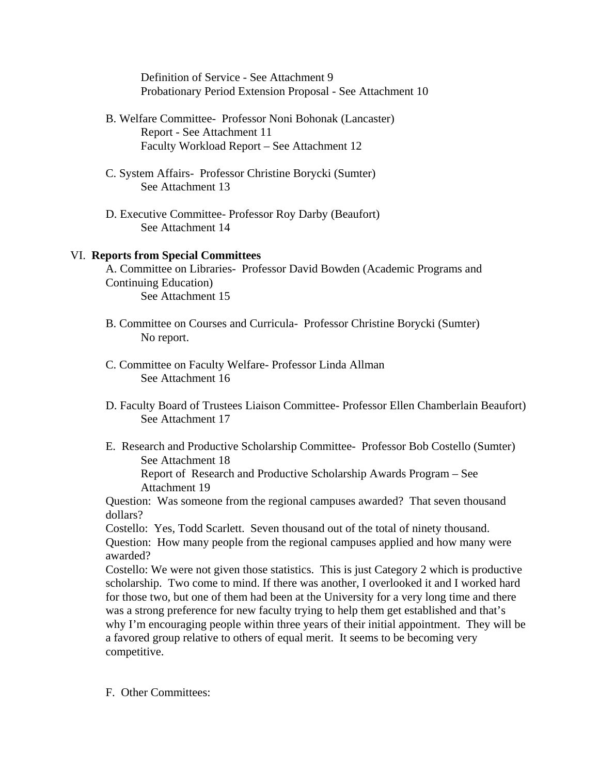Definition of Service - See Attachment 9 Probationary Period Extension Proposal - See Attachment 10

- B. Welfare Committee- Professor Noni Bohonak (Lancaster) Report - See Attachment 11 Faculty Workload Report – See Attachment 12
- C. System Affairs- Professor Christine Borycki (Sumter) See Attachment 13
- D. Executive Committee- Professor Roy Darby (Beaufort) See Attachment 14

#### VI. **Reports from Special Committees**

- A. Committee on Libraries- Professor David Bowden (Academic Programs and Continuing Education) See Attachment 15
- B. Committee on Courses and Curricula- Professor Christine Borycki (Sumter) No report.
- C. Committee on Faculty Welfare- Professor Linda Allman See Attachment 16
- D. Faculty Board of Trustees Liaison Committee- Professor Ellen Chamberlain Beaufort) See Attachment 17
- E. Research and Productive Scholarship Committee- Professor Bob Costello (Sumter) See Attachment 18

Report of Research and Productive Scholarship Awards Program – See Attachment 19

Question: Was someone from the regional campuses awarded? That seven thousand dollars?

Costello: Yes, Todd Scarlett. Seven thousand out of the total of ninety thousand. Question: How many people from the regional campuses applied and how many were awarded?

Costello: We were not given those statistics. This is just Category 2 which is productive scholarship. Two come to mind. If there was another, I overlooked it and I worked hard for those two, but one of them had been at the University for a very long time and there was a strong preference for new faculty trying to help them get established and that's why I'm encouraging people within three years of their initial appointment. They will be a favored group relative to others of equal merit. It seems to be becoming very competitive.

F. Other Committees: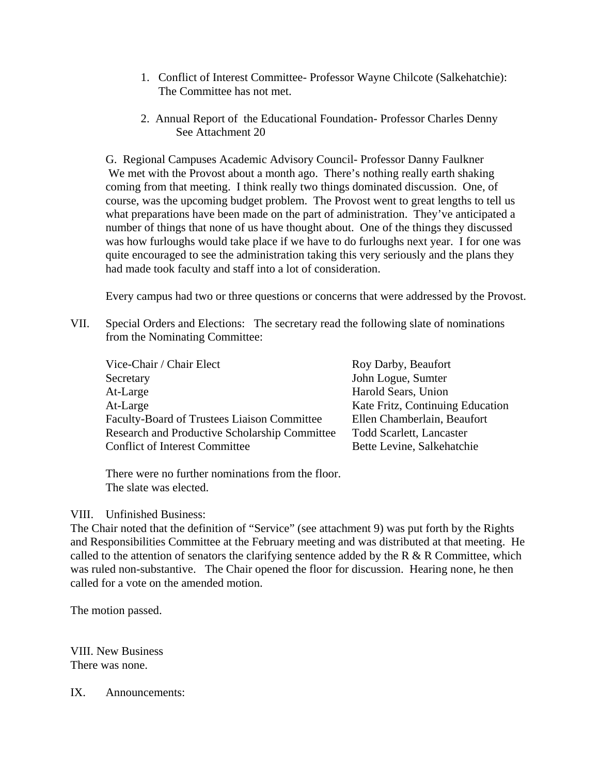- 1. Conflict of Interest Committee- Professor Wayne Chilcote (Salkehatchie): The Committee has not met.
- 2. Annual Report of the Educational Foundation- Professor Charles Denny See Attachment 20

G. Regional Campuses Academic Advisory Council- Professor Danny Faulkner We met with the Provost about a month ago. There's nothing really earth shaking coming from that meeting. I think really two things dominated discussion. One, of course, was the upcoming budget problem. The Provost went to great lengths to tell us what preparations have been made on the part of administration. They've anticipated a number of things that none of us have thought about. One of the things they discussed was how furloughs would take place if we have to do furloughs next year. I for one was quite encouraged to see the administration taking this very seriously and the plans they had made took faculty and staff into a lot of consideration.

Every campus had two or three questions or concerns that were addressed by the Provost.

VII. Special Orders and Elections: The secretary read the following slate of nominations from the Nominating Committee:

| Vice-Chair / Chair Elect                      | Roy Darby, Beaufort              |
|-----------------------------------------------|----------------------------------|
| Secretary                                     | John Logue, Sumter               |
| At-Large                                      | Harold Sears, Union              |
| At-Large                                      | Kate Fritz, Continuing Education |
| Faculty-Board of Trustees Liaison Committee   | Ellen Chamberlain, Beaufort      |
| Research and Productive Scholarship Committee | <b>Todd Scarlett, Lancaster</b>  |
| <b>Conflict of Interest Committee</b>         | Bette Levine, Salkehatchie       |
|                                               |                                  |

There were no further nominations from the floor. The slate was elected.

#### VIII. Unfinished Business:

The Chair noted that the definition of "Service" (see attachment 9) was put forth by the Rights and Responsibilities Committee at the February meeting and was distributed at that meeting. He called to the attention of senators the clarifying sentence added by the R  $\&$  R Committee, which was ruled non-substantive. The Chair opened the floor for discussion. Hearing none, he then called for a vote on the amended motion.

The motion passed.

VIII. New Business There was none.

IX. Announcements: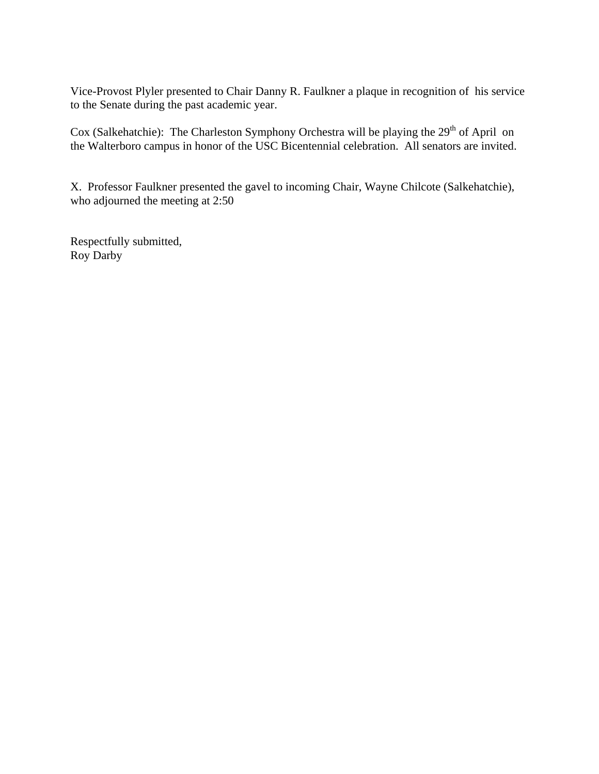Vice-Provost Plyler presented to Chair Danny R. Faulkner a plaque in recognition of his service to the Senate during the past academic year.

Cox (Salkehatchie): The Charleston Symphony Orchestra will be playing the 29<sup>th</sup> of April on the Walterboro campus in honor of the USC Bicentennial celebration. All senators are invited.

X. Professor Faulkner presented the gavel to incoming Chair, Wayne Chilcote (Salkehatchie), who adjourned the meeting at 2:50

Respectfully submitted, Roy Darby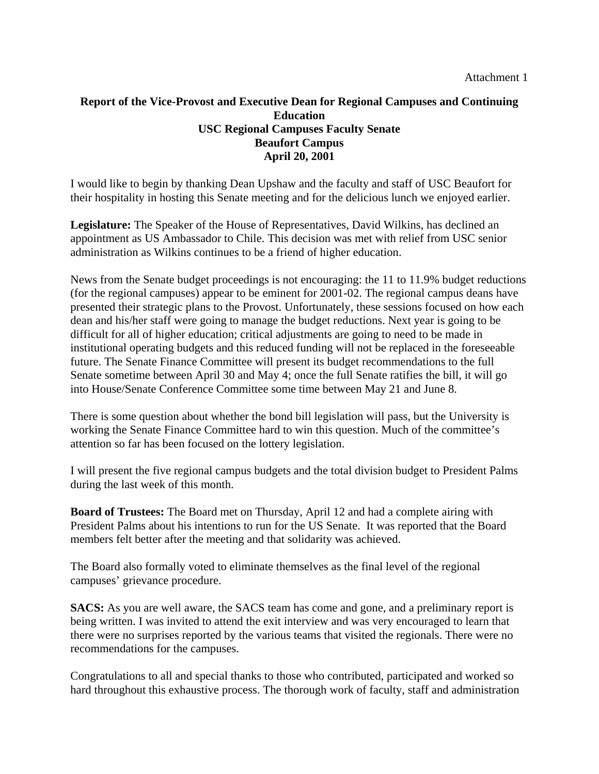### **Report of the Vice-Provost and Executive Dean for Regional Campuses and Continuing Education USC Regional Campuses Faculty Senate Beaufort Campus April 20, 2001**

I would like to begin by thanking Dean Upshaw and the faculty and staff of USC Beaufort for their hospitality in hosting this Senate meeting and for the delicious lunch we enjoyed earlier.

**Legislature:** The Speaker of the House of Representatives, David Wilkins, has declined an appointment as US Ambassador to Chile. This decision was met with relief from USC senior administration as Wilkins continues to be a friend of higher education.

News from the Senate budget proceedings is not encouraging: the 11 to 11.9% budget reductions (for the regional campuses) appear to be eminent for 2001-02. The regional campus deans have presented their strategic plans to the Provost. Unfortunately, these sessions focused on how each dean and his/her staff were going to manage the budget reductions. Next year is going to be difficult for all of higher education; critical adjustments are going to need to be made in institutional operating budgets and this reduced funding will not be replaced in the foreseeable future. The Senate Finance Committee will present its budget recommendations to the full Senate sometime between April 30 and May 4; once the full Senate ratifies the bill, it will go into House/Senate Conference Committee some time between May 21 and June 8.

There is some question about whether the bond bill legislation will pass, but the University is working the Senate Finance Committee hard to win this question. Much of the committee's attention so far has been focused on the lottery legislation.

I will present the five regional campus budgets and the total division budget to President Palms during the last week of this month.

**Board of Trustees:** The Board met on Thursday, April 12 and had a complete airing with President Palms about his intentions to run for the US Senate. It was reported that the Board members felt better after the meeting and that solidarity was achieved.

The Board also formally voted to eliminate themselves as the final level of the regional campuses' grievance procedure.

**SACS:** As you are well aware, the SACS team has come and gone, and a preliminary report is being written. I was invited to attend the exit interview and was very encouraged to learn that there were no surprises reported by the various teams that visited the regionals. There were no recommendations for the campuses.

Congratulations to all and special thanks to those who contributed, participated and worked so hard throughout this exhaustive process. The thorough work of faculty, staff and administration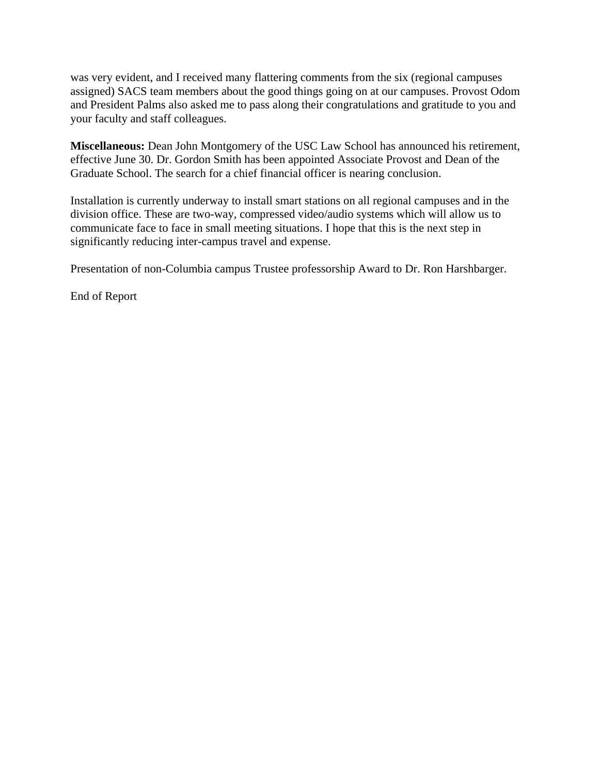was very evident, and I received many flattering comments from the six (regional campuses assigned) SACS team members about the good things going on at our campuses. Provost Odom and President Palms also asked me to pass along their congratulations and gratitude to you and your faculty and staff colleagues.

**Miscellaneous:** Dean John Montgomery of the USC Law School has announced his retirement, effective June 30. Dr. Gordon Smith has been appointed Associate Provost and Dean of the Graduate School. The search for a chief financial officer is nearing conclusion.

Installation is currently underway to install smart stations on all regional campuses and in the division office. These are two-way, compressed video/audio systems which will allow us to communicate face to face in small meeting situations. I hope that this is the next step in significantly reducing inter-campus travel and expense.

Presentation of non-Columbia campus Trustee professorship Award to Dr. Ron Harshbarger.

End of Report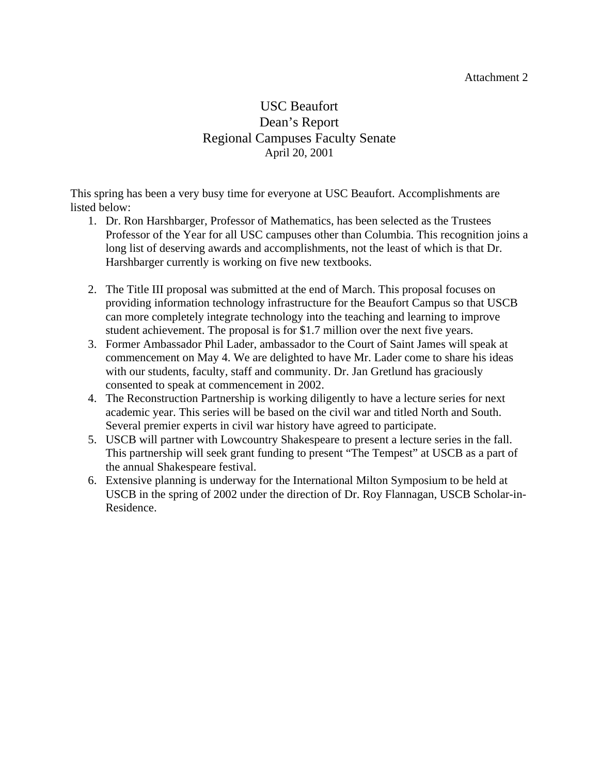#### Attachment 2

## USC Beaufort Dean's Report Regional Campuses Faculty Senate April 20, 2001

This spring has been a very busy time for everyone at USC Beaufort. Accomplishments are listed below:

- 1. Dr. Ron Harshbarger, Professor of Mathematics, has been selected as the Trustees Professor of the Year for all USC campuses other than Columbia. This recognition joins a long list of deserving awards and accomplishments, not the least of which is that Dr. Harshbarger currently is working on five new textbooks.
- 2. The Title III proposal was submitted at the end of March. This proposal focuses on providing information technology infrastructure for the Beaufort Campus so that USCB can more completely integrate technology into the teaching and learning to improve student achievement. The proposal is for \$1.7 million over the next five years.
- 3. Former Ambassador Phil Lader, ambassador to the Court of Saint James will speak at commencement on May 4. We are delighted to have Mr. Lader come to share his ideas with our students, faculty, staff and community. Dr. Jan Gretlund has graciously consented to speak at commencement in 2002.
- 4. The Reconstruction Partnership is working diligently to have a lecture series for next academic year. This series will be based on the civil war and titled North and South. Several premier experts in civil war history have agreed to participate.
- 5. USCB will partner with Lowcountry Shakespeare to present a lecture series in the fall. This partnership will seek grant funding to present "The Tempest" at USCB as a part of the annual Shakespeare festival.
- 6. Extensive planning is underway for the International Milton Symposium to be held at USCB in the spring of 2002 under the direction of Dr. Roy Flannagan, USCB Scholar-in-Residence.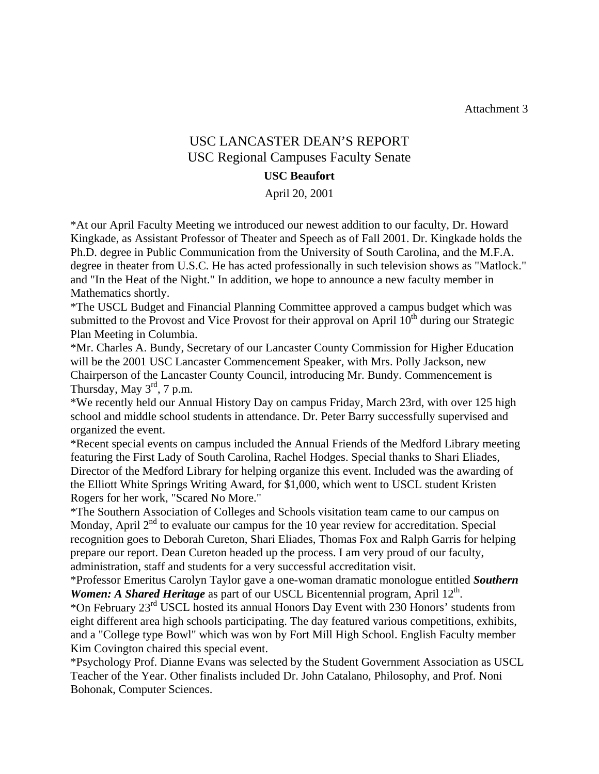Attachment 3

## USC LANCASTER DEAN'S REPORT USC Regional Campuses Faculty Senate

#### **USC Beaufort**

April 20, 2001

\*At our April Faculty Meeting we introduced our newest addition to our faculty, Dr. Howard Kingkade, as Assistant Professor of Theater and Speech as of Fall 2001. Dr. Kingkade holds the Ph.D. degree in Public Communication from the University of South Carolina, and the M.F.A. degree in theater from U.S.C. He has acted professionally in such television shows as "Matlock." and "In the Heat of the Night." In addition, we hope to announce a new faculty member in Mathematics shortly.

\*The USCL Budget and Financial Planning Committee approved a campus budget which was submitted to the Provost and Vice Provost for their approval on April  $10<sup>th</sup>$  during our Strategic Plan Meeting in Columbia.

\*Mr. Charles A. Bundy, Secretary of our Lancaster County Commission for Higher Education will be the 2001 USC Lancaster Commencement Speaker, with Mrs. Polly Jackson, new Chairperson of the Lancaster County Council, introducing Mr. Bundy. Commencement is Thursday, May  $3^{\text{rd}}$ , 7 p.m.

\*We recently held our Annual History Day on campus Friday, March 23rd, with over 125 high school and middle school students in attendance. Dr. Peter Barry successfully supervised and organized the event.

\*Recent special events on campus included the Annual Friends of the Medford Library meeting featuring the First Lady of South Carolina, Rachel Hodges. Special thanks to Shari Eliades, Director of the Medford Library for helping organize this event. Included was the awarding of the Elliott White Springs Writing Award, for \$1,000, which went to USCL student Kristen Rogers for her work, "Scared No More."

\*The Southern Association of Colleges and Schools visitation team came to our campus on Monday, April  $2<sup>nd</sup>$  to evaluate our campus for the 10 year review for accreditation. Special recognition goes to Deborah Cureton, Shari Eliades, Thomas Fox and Ralph Garris for helping prepare our report. Dean Cureton headed up the process. I am very proud of our faculty, administration, staff and students for a very successful accreditation visit.

\*Professor Emeritus Carolyn Taylor gave a one-woman dramatic monologue entitled *Southern Women: A Shared Heritage* as part of our USCL Bicentennial program, April 12<sup>th</sup>.

\*On February 23rd USCL hosted its annual Honors Day Event with 230 Honors' students from eight different area high schools participating. The day featured various competitions, exhibits, and a "College type Bowl" which was won by Fort Mill High School. English Faculty member Kim Covington chaired this special event.

\*Psychology Prof. Dianne Evans was selected by the Student Government Association as USCL Teacher of the Year. Other finalists included Dr. John Catalano, Philosophy, and Prof. Noni Bohonak, Computer Sciences.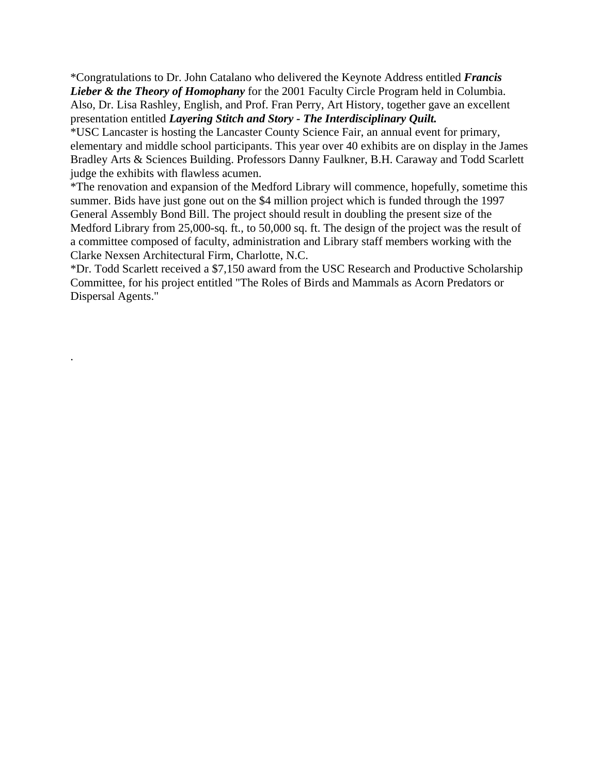\*Congratulations to Dr. John Catalano who delivered the Keynote Address entitled *Francis Lieber & the Theory of Homophany* for the 2001 Faculty Circle Program held in Columbia. Also, Dr. Lisa Rashley, English, and Prof. Fran Perry, Art History, together gave an excellent presentation entitled *Layering Stitch and Story - The Interdisciplinary Quilt.*

\*USC Lancaster is hosting the Lancaster County Science Fair, an annual event for primary, elementary and middle school participants. This year over 40 exhibits are on display in the James Bradley Arts & Sciences Building. Professors Danny Faulkner, B.H. Caraway and Todd Scarlett judge the exhibits with flawless acumen.

\*The renovation and expansion of the Medford Library will commence, hopefully, sometime this summer. Bids have just gone out on the \$4 million project which is funded through the 1997 General Assembly Bond Bill. The project should result in doubling the present size of the Medford Library from 25,000-sq. ft., to 50,000 sq. ft. The design of the project was the result of a committee composed of faculty, administration and Library staff members working with the Clarke Nexsen Architectural Firm, Charlotte, N.C.

\*Dr. Todd Scarlett received a \$7,150 award from the USC Research and Productive Scholarship Committee, for his project entitled "The Roles of Birds and Mammals as Acorn Predators or Dispersal Agents."

.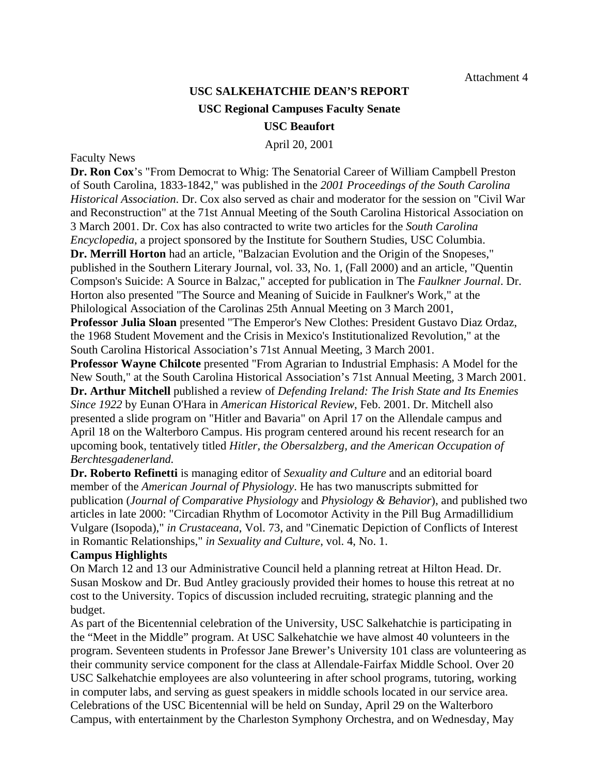# **USC SALKEHATCHIE DEAN'S REPORT USC Regional Campuses Faculty Senate**

**USC Beaufort** 

April 20, 2001

#### Faculty News

**Dr. Ron Cox**'s "From Democrat to Whig: The Senatorial Career of William Campbell Preston of South Carolina, 1833-1842," was published in the *2001 Proceedings of the South Carolina Historical Association*. Dr. Cox also served as chair and moderator for the session on "Civil War and Reconstruction" at the 71st Annual Meeting of the South Carolina Historical Association on 3 March 2001. Dr. Cox has also contracted to write two articles for the *South Carolina Encyclopedia*, a project sponsored by the Institute for Southern Studies, USC Columbia. **Dr. Merrill Horton** had an article, "Balzacian Evolution and the Origin of the Snopeses," published in the Southern Literary Journal, vol. 33, No. 1, (Fall 2000) and an article, "Quentin Compson's Suicide: A Source in Balzac*,*" accepted for publication in The *Faulkner Journal*. Dr. Horton also presented "The Source and Meaning of Suicide in Faulkner's Work*,*" at the Philological Association of the Carolinas 25th Annual Meeting on 3 March 2001, **Professor Julia Sloan** presented "The Emperor's New Clothes: President Gustavo Diaz Ordaz, the 1968 Student Movement and the Crisis in Mexico's Institutionalized Revolution," at the

South Carolina Historical Association's 71st Annual Meeting, 3 March 2001.

**Professor Wayne Chilcote** presented "From Agrarian to Industrial Emphasis: A Model for the New South," at the South Carolina Historical Association's 71st Annual Meeting, 3 March 2001. **Dr. Arthur Mitchell** published a review of *Defending Ireland: The Irish State and Its Enemies Since 1922* by Eunan O'Hara in *American Historical Review*, Feb. 2001. Dr. Mitchell also presented a slide program on "Hitler and Bavaria" on April 17 on the Allendale campus and April 18 on the Walterboro Campus. His program centered around his recent research for an upcoming book, tentatively titled *Hitler, the Obersalzberg, and the American Occupation of Berchtesgadenerland.*

**Dr. Roberto Refinetti** is managing editor of *Sexuality and Culture* and an editorial board member of the *American Journal of Physiology*. He has two manuscripts submitted for publication (*Journal of Comparative Physiology* and *Physiology & Behavior*), and published two articles in late 2000: "Circadian Rhythm of Locomotor Activity in the Pill Bug Armadillidium Vulgare (Isopoda)," *in Crustaceana*, Vol. 73, and "Cinematic Depiction of Conflicts of Interest in Romantic Relationships," *in Sexuality and Culture*, vol. 4, No. 1.

#### **Campus Highlights**

On March 12 and 13 our Administrative Council held a planning retreat at Hilton Head. Dr. Susan Moskow and Dr. Bud Antley graciously provided their homes to house this retreat at no cost to the University. Topics of discussion included recruiting, strategic planning and the budget.

As part of the Bicentennial celebration of the University, USC Salkehatchie is participating in the "Meet in the Middle" program. At USC Salkehatchie we have almost 40 volunteers in the program. Seventeen students in Professor Jane Brewer's University 101 class are volunteering as their community service component for the class at Allendale-Fairfax Middle School. Over 20 USC Salkehatchie employees are also volunteering in after school programs, tutoring, working in computer labs, and serving as guest speakers in middle schools located in our service area. Celebrations of the USC Bicentennial will be held on Sunday, April 29 on the Walterboro Campus, with entertainment by the Charleston Symphony Orchestra, and on Wednesday, May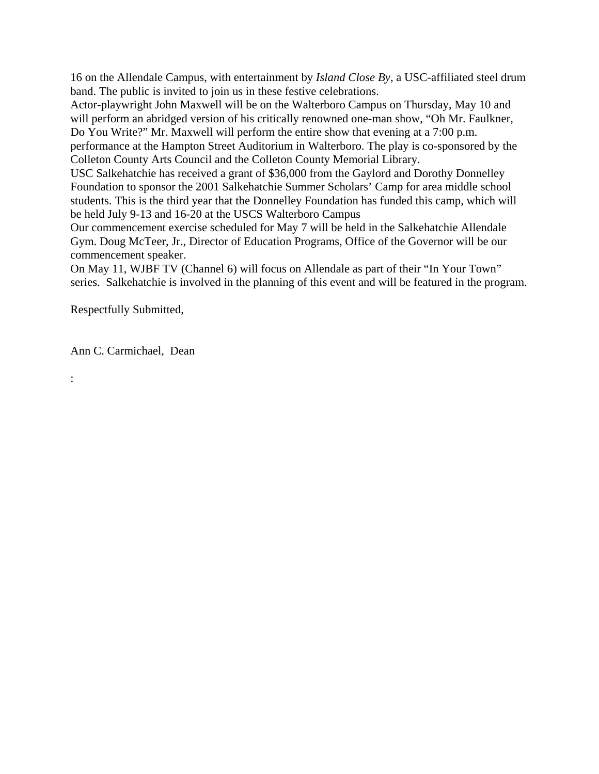16 on the Allendale Campus, with entertainment by *Island Close By*, a USC-affiliated steel drum band. The public is invited to join us in these festive celebrations.

Actor-playwright John Maxwell will be on the Walterboro Campus on Thursday, May 10 and will perform an abridged version of his critically renowned one-man show, "Oh Mr. Faulkner, Do You Write?" Mr. Maxwell will perform the entire show that evening at a 7:00 p.m.

performance at the Hampton Street Auditorium in Walterboro. The play is co-sponsored by the Colleton County Arts Council and the Colleton County Memorial Library.

USC Salkehatchie has received a grant of \$36,000 from the Gaylord and Dorothy Donnelley Foundation to sponsor the 2001 Salkehatchie Summer Scholars' Camp for area middle school students. This is the third year that the Donnelley Foundation has funded this camp, which will be held July 9-13 and 16-20 at the USCS Walterboro Campus

Our commencement exercise scheduled for May 7 will be held in the Salkehatchie Allendale Gym. Doug McTeer, Jr., Director of Education Programs, Office of the Governor will be our commencement speaker.

On May 11, WJBF TV (Channel 6) will focus on Allendale as part of their "In Your Town" series. Salkehatchie is involved in the planning of this event and will be featured in the program.

Respectfully Submitted,

Ann C. Carmichael, Dean

: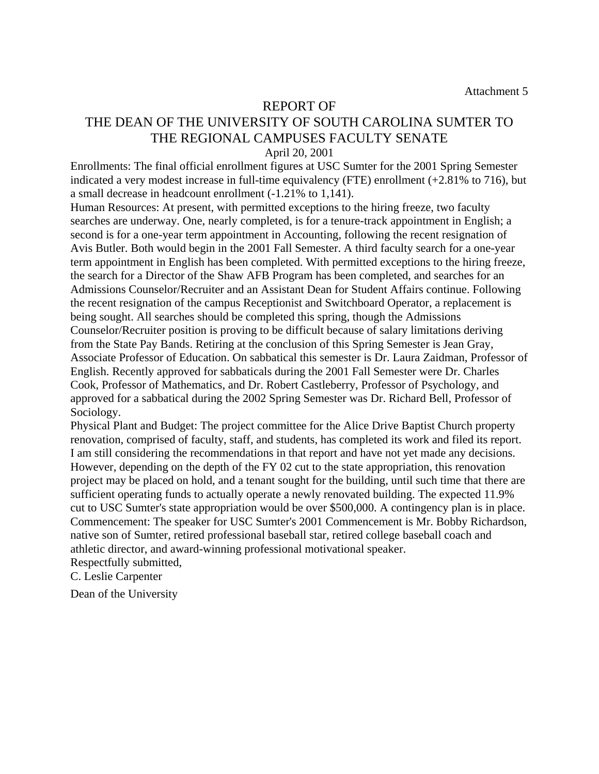#### REPORT OF

### THE DEAN OF THE UNIVERSITY OF SOUTH CAROLINA SUMTER TO THE REGIONAL CAMPUSES FACULTY SENATE April 20, 2001

Enrollments: The final official enrollment figures at USC Sumter for the 2001 Spring Semester indicated a very modest increase in full-time equivalency (FTE) enrollment (+2.81% to 716), but a small decrease in headcount enrollment (-1.21% to 1,141).

Human Resources: At present, with permitted exceptions to the hiring freeze, two faculty searches are underway. One, nearly completed, is for a tenure-track appointment in English; a second is for a one-year term appointment in Accounting, following the recent resignation of Avis Butler. Both would begin in the 2001 Fall Semester. A third faculty search for a one-year term appointment in English has been completed. With permitted exceptions to the hiring freeze, the search for a Director of the Shaw AFB Program has been completed, and searches for an Admissions Counselor/Recruiter and an Assistant Dean for Student Affairs continue. Following the recent resignation of the campus Receptionist and Switchboard Operator, a replacement is being sought. All searches should be completed this spring, though the Admissions Counselor/Recruiter position is proving to be difficult because of salary limitations deriving from the State Pay Bands. Retiring at the conclusion of this Spring Semester is Jean Gray, Associate Professor of Education. On sabbatical this semester is Dr. Laura Zaidman, Professor of English. Recently approved for sabbaticals during the 2001 Fall Semester were Dr. Charles Cook, Professor of Mathematics, and Dr. Robert Castleberry, Professor of Psychology, and approved for a sabbatical during the 2002 Spring Semester was Dr. Richard Bell, Professor of Sociology.

Physical Plant and Budget: The project committee for the Alice Drive Baptist Church property renovation, comprised of faculty, staff, and students, has completed its work and filed its report. I am still considering the recommendations in that report and have not yet made any decisions. However, depending on the depth of the FY 02 cut to the state appropriation, this renovation project may be placed on hold, and a tenant sought for the building, until such time that there are sufficient operating funds to actually operate a newly renovated building. The expected 11.9% cut to USC Sumter's state appropriation would be over \$500,000. A contingency plan is in place. Commencement: The speaker for USC Sumter's 2001 Commencement is Mr. Bobby Richardson, native son of Sumter, retired professional baseball star, retired college baseball coach and athletic director, and award-winning professional motivational speaker. Respectfully submitted,

C. Leslie Carpenter

Dean of the University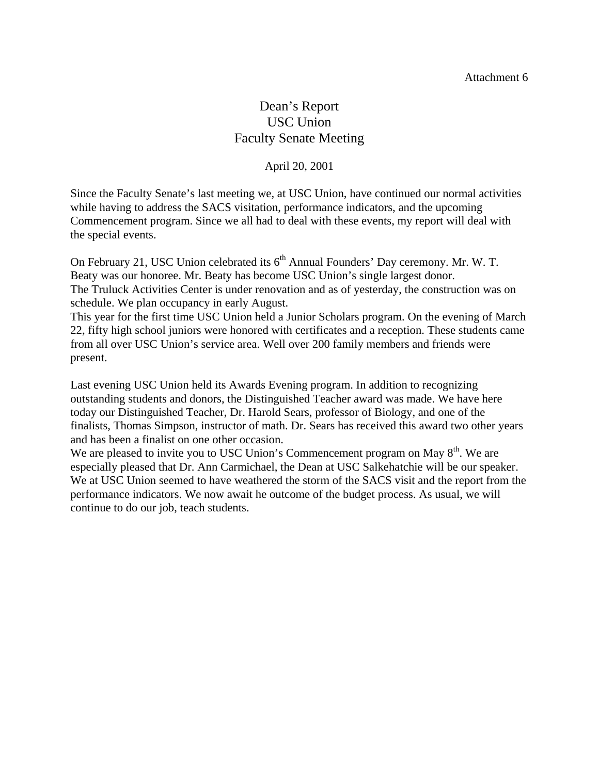## Dean's Report USC Union Faculty Senate Meeting

#### April 20, 2001

Since the Faculty Senate's last meeting we, at USC Union, have continued our normal activities while having to address the SACS visitation, performance indicators, and the upcoming Commencement program. Since we all had to deal with these events, my report will deal with the special events.

On February 21, USC Union celebrated its 6<sup>th</sup> Annual Founders' Day ceremony. Mr. W. T. Beaty was our honoree. Mr. Beaty has become USC Union's single largest donor. The Truluck Activities Center is under renovation and as of yesterday, the construction was on schedule. We plan occupancy in early August.

This year for the first time USC Union held a Junior Scholars program. On the evening of March 22, fifty high school juniors were honored with certificates and a reception. These students came from all over USC Union's service area. Well over 200 family members and friends were present.

Last evening USC Union held its Awards Evening program. In addition to recognizing outstanding students and donors, the Distinguished Teacher award was made. We have here today our Distinguished Teacher, Dr. Harold Sears, professor of Biology, and one of the finalists, Thomas Simpson, instructor of math. Dr. Sears has received this award two other years and has been a finalist on one other occasion.

We are pleased to invite you to USC Union's Commencement program on May  $8<sup>th</sup>$ . We are especially pleased that Dr. Ann Carmichael, the Dean at USC Salkehatchie will be our speaker. We at USC Union seemed to have weathered the storm of the SACS visit and the report from the performance indicators. We now await he outcome of the budget process. As usual, we will continue to do our job, teach students.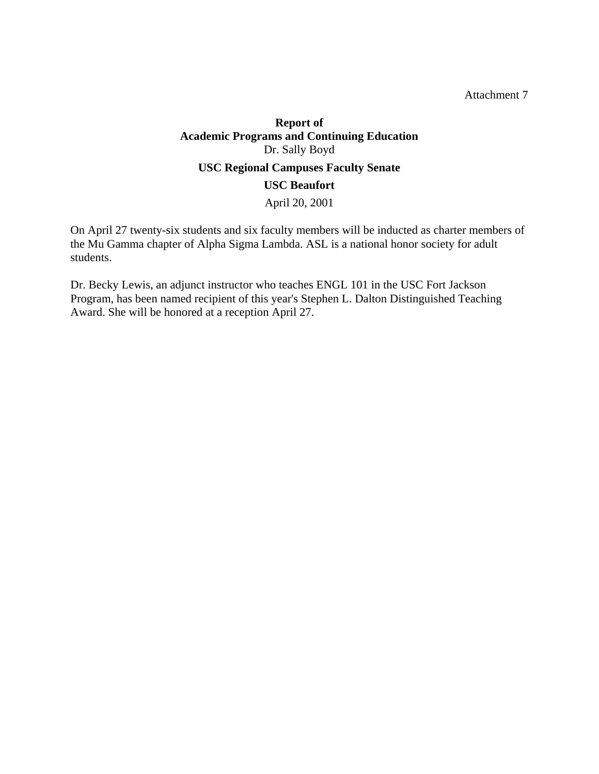Attachment 7

## **Report of Academic Programs and Continuing Education**  Dr. Sally Boyd **USC Regional Campuses Faculty Senate USC Beaufort**  April 20, 2001

On April 27 twenty-six students and six faculty members will be inducted as charter members of the Mu Gamma chapter of Alpha Sigma Lambda. ASL is a national honor society for adult students.

Dr. Becky Lewis, an adjunct instructor who teaches ENGL 101 in the USC Fort Jackson Program, has been named recipient of this year's Stephen L. Dalton Distinguished Teaching Award. She will be honored at a reception April 27.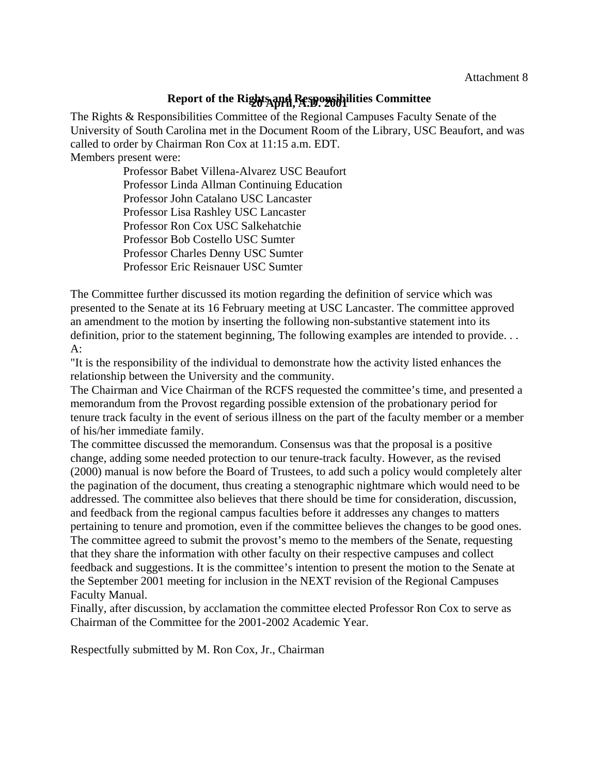## **Report of the Rights and Responsibilities Committee 20 April, A.D. 2001**

The Rights & Responsibilities Committee of the Regional Campuses Faculty Senate of the University of South Carolina met in the Document Room of the Library, USC Beaufort, and was called to order by Chairman Ron Cox at 11:15 a.m. EDT. Members present were:

> Professor Babet Villena-Alvarez USC Beaufort Professor Linda Allman Continuing Education Professor John Catalano USC Lancaster Professor Lisa Rashley USC Lancaster Professor Ron Cox USC Salkehatchie Professor Bob Costello USC Sumter Professor Charles Denny USC Sumter Professor Eric Reisnauer USC Sumter

The Committee further discussed its motion regarding the definition of service which was presented to the Senate at its 16 February meeting at USC Lancaster. The committee approved an amendment to the motion by inserting the following non-substantive statement into its definition, prior to the statement beginning, The following examples are intended to provide. . .  $A^{\cdot}$ 

"It is the responsibility of the individual to demonstrate how the activity listed enhances the relationship between the University and the community.

The Chairman and Vice Chairman of the RCFS requested the committee's time, and presented a memorandum from the Provost regarding possible extension of the probationary period for tenure track faculty in the event of serious illness on the part of the faculty member or a member of his/her immediate family.

The committee discussed the memorandum. Consensus was that the proposal is a positive change, adding some needed protection to our tenure-track faculty. However, as the revised (2000) manual is now before the Board of Trustees, to add such a policy would completely alter the pagination of the document, thus creating a stenographic nightmare which would need to be addressed. The committee also believes that there should be time for consideration, discussion, and feedback from the regional campus faculties before it addresses any changes to matters pertaining to tenure and promotion, even if the committee believes the changes to be good ones. The committee agreed to submit the provost's memo to the members of the Senate, requesting that they share the information with other faculty on their respective campuses and collect feedback and suggestions. It is the committee's intention to present the motion to the Senate at the September 2001 meeting for inclusion in the NEXT revision of the Regional Campuses Faculty Manual.

Finally, after discussion, by acclamation the committee elected Professor Ron Cox to serve as Chairman of the Committee for the 2001-2002 Academic Year.

Respectfully submitted by M. Ron Cox, Jr., Chairman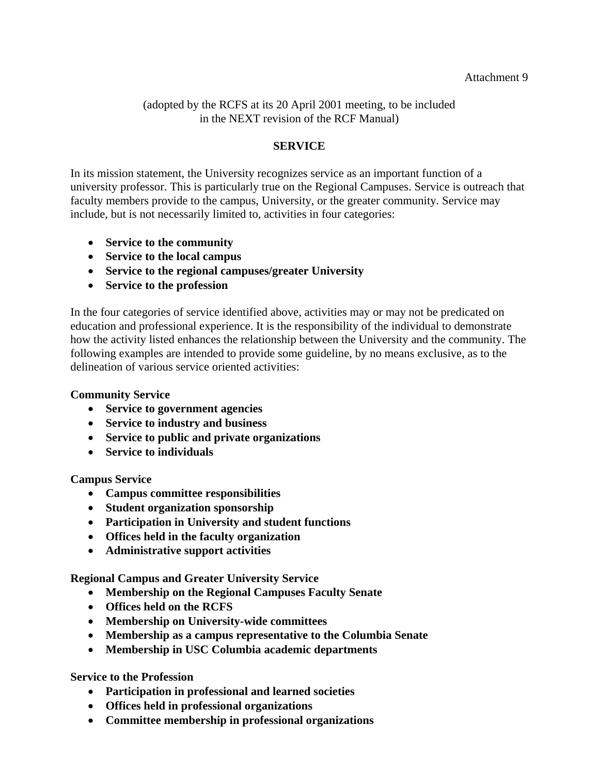(adopted by the RCFS at its 20 April 2001 meeting, to be included in the NEXT revision of the RCF Manual)

### **SERVICE**

In its mission statement, the University recognizes service as an important function of a university professor. This is particularly true on the Regional Campuses. Service is outreach that faculty members provide to the campus, University, or the greater community. Service may include, but is not necessarily limited to, activities in four categories:

- **Service to the community**
- **Service to the local campus**
- **Service to the regional campuses/greater University**
- **Service to the profession**

In the four categories of service identified above, activities may or may not be predicated on education and professional experience. It is the responsibility of the individual to demonstrate how the activity listed enhances the relationship between the University and the community. The following examples are intended to provide some guideline, by no means exclusive, as to the delineation of various service oriented activities:

#### **Community Service**

- **Service to government agencies**
- **Service to industry and business**
- **Service to public and private organizations**
- **Service to individuals**

#### **Campus Service**

- **Campus committee responsibilities**
- **Student organization sponsorship**
- **Participation in University and student functions**
- **Offices held in the faculty organization**
- **Administrative support activities**

**Regional Campus and Greater University Service** 

- **Membership on the Regional Campuses Faculty Senate**
- **Offices held on the RCFS**
- **Membership on University-wide committees**
- **Membership as a campus representative to the Columbia Senate**
- **Membership in USC Columbia academic departments**

**Service to the Profession** 

- **Participation in professional and learned societies**
- **Offices held in professional organizations**
- **Committee membership in professional organizations**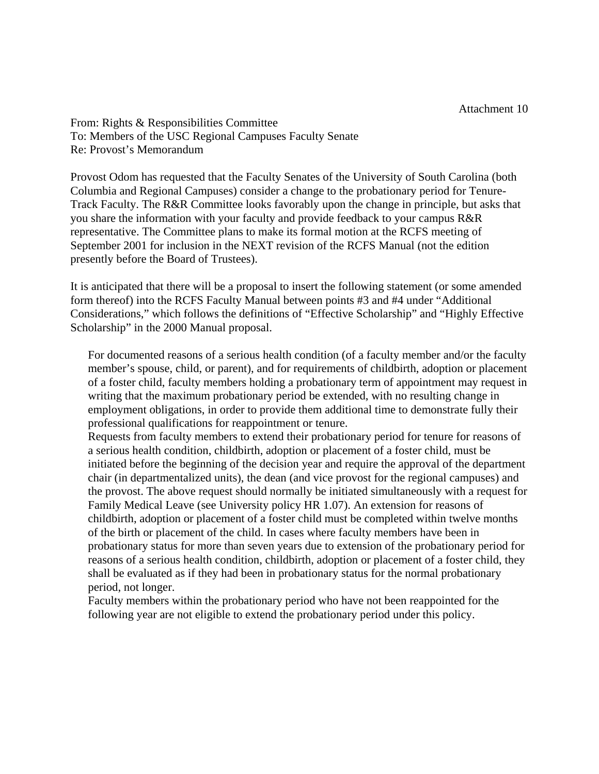From: Rights & Responsibilities Committee To: Members of the USC Regional Campuses Faculty Senate Re: Provost's Memorandum

Provost Odom has requested that the Faculty Senates of the University of South Carolina (both Columbia and Regional Campuses) consider a change to the probationary period for Tenure-Track Faculty. The R&R Committee looks favorably upon the change in principle, but asks that you share the information with your faculty and provide feedback to your campus R&R representative. The Committee plans to make its formal motion at the RCFS meeting of September 2001 for inclusion in the NEXT revision of the RCFS Manual (not the edition presently before the Board of Trustees).

It is anticipated that there will be a proposal to insert the following statement (or some amended form thereof) into the RCFS Faculty Manual between points #3 and #4 under "Additional Considerations," which follows the definitions of "Effective Scholarship" and "Highly Effective Scholarship" in the 2000 Manual proposal.

For documented reasons of a serious health condition (of a faculty member and/or the faculty member's spouse, child, or parent), and for requirements of childbirth, adoption or placement of a foster child, faculty members holding a probationary term of appointment may request in writing that the maximum probationary period be extended, with no resulting change in employment obligations, in order to provide them additional time to demonstrate fully their professional qualifications for reappointment or tenure.

Requests from faculty members to extend their probationary period for tenure for reasons of a serious health condition, childbirth, adoption or placement of a foster child, must be initiated before the beginning of the decision year and require the approval of the department chair (in departmentalized units), the dean (and vice provost for the regional campuses) and the provost. The above request should normally be initiated simultaneously with a request for Family Medical Leave (see University policy HR 1.07). An extension for reasons of childbirth, adoption or placement of a foster child must be completed within twelve months of the birth or placement of the child. In cases where faculty members have been in probationary status for more than seven years due to extension of the probationary period for reasons of a serious health condition, childbirth, adoption or placement of a foster child, they shall be evaluated as if they had been in probationary status for the normal probationary period, not longer.

Faculty members within the probationary period who have not been reappointed for the following year are not eligible to extend the probationary period under this policy.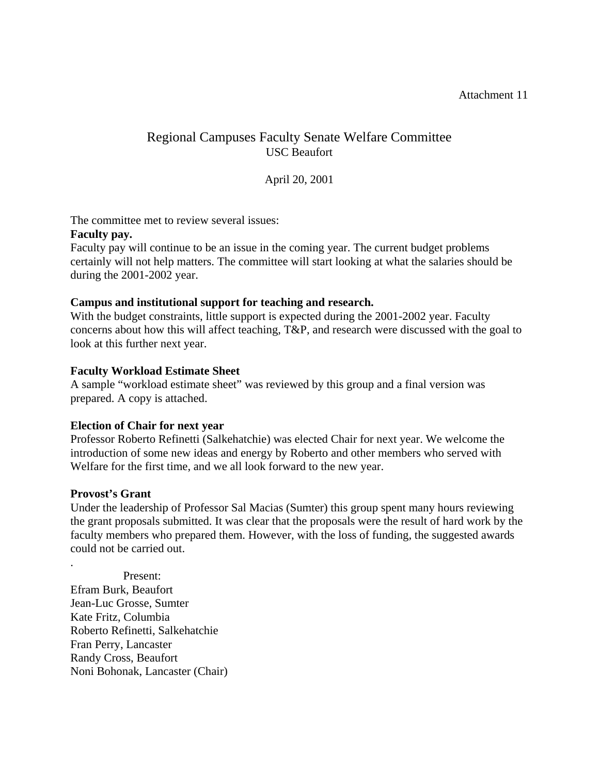## Regional Campuses Faculty Senate Welfare Committee USC Beaufort

#### April 20, 2001

The committee met to review several issues:

#### **Faculty pay.**

Faculty pay will continue to be an issue in the coming year. The current budget problems certainly will not help matters. The committee will start looking at what the salaries should be during the 2001-2002 year.

#### **Campus and institutional support for teaching and research.**

With the budget constraints, little support is expected during the 2001-2002 year. Faculty concerns about how this will affect teaching, T&P, and research were discussed with the goal to look at this further next year.

#### **Faculty Workload Estimate Sheet**

A sample "workload estimate sheet" was reviewed by this group and a final version was prepared. A copy is attached.

#### **Election of Chair for next year**

Professor Roberto Refinetti (Salkehatchie) was elected Chair for next year. We welcome the introduction of some new ideas and energy by Roberto and other members who served with Welfare for the first time, and we all look forward to the new year.

#### **Provost's Grant**

.

Under the leadership of Professor Sal Macias (Sumter) this group spent many hours reviewing the grant proposals submitted. It was clear that the proposals were the result of hard work by the faculty members who prepared them. However, with the loss of funding, the suggested awards could not be carried out.

Present: Efram Burk, Beaufort Jean-Luc Grosse, Sumter Kate Fritz, Columbia Roberto Refinetti, Salkehatchie Fran Perry, Lancaster Randy Cross, Beaufort Noni Bohonak, Lancaster (Chair)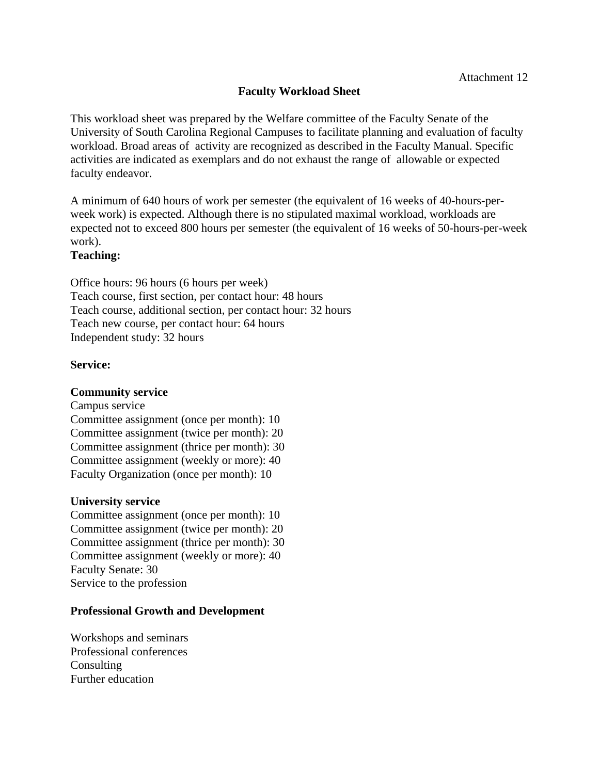### **Faculty Workload Sheet**

This workload sheet was prepared by the Welfare committee of the Faculty Senate of the University of South Carolina Regional Campuses to facilitate planning and evaluation of faculty workload. Broad areas of activity are recognized as described in the Faculty Manual. Specific activities are indicated as exemplars and do not exhaust the range of allowable or expected faculty endeavor.

A minimum of 640 hours of work per semester (the equivalent of 16 weeks of 40-hours-perweek work) is expected. Although there is no stipulated maximal workload, workloads are expected not to exceed 800 hours per semester (the equivalent of 16 weeks of 50-hours-per-week work).

#### **Teaching:**

Office hours: 96 hours (6 hours per week) Teach course, first section, per contact hour: 48 hours Teach course, additional section, per contact hour: 32 hours Teach new course, per contact hour: 64 hours Independent study: 32 hours

#### **Service:**

#### **Community service**

Campus service Committee assignment (once per month): 10 Committee assignment (twice per month): 20 Committee assignment (thrice per month): 30 Committee assignment (weekly or more): 40 Faculty Organization (once per month): 10

#### **University service**

Committee assignment (once per month): 10 Committee assignment (twice per month): 20 Committee assignment (thrice per month): 30 Committee assignment (weekly or more): 40 Faculty Senate: 30 Service to the profession

#### **Professional Growth and Development**

Workshops and seminars Professional conferences Consulting Further education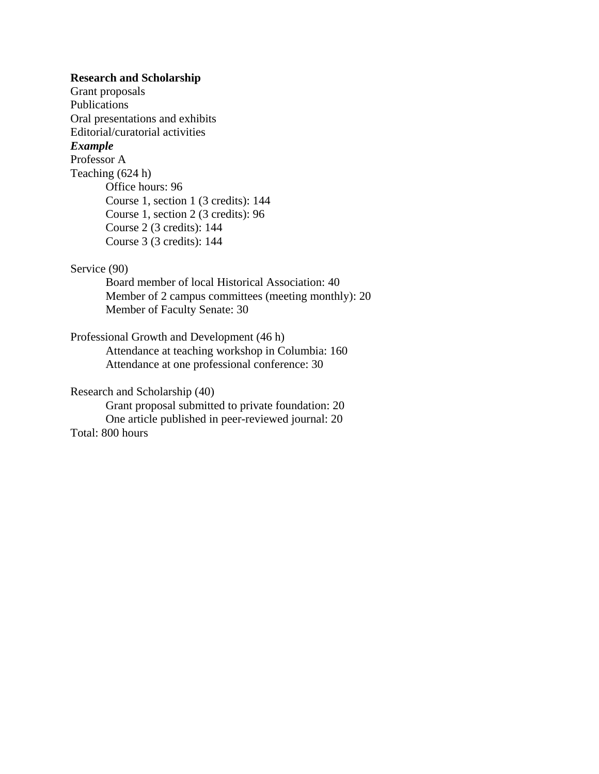#### **Research and Scholarship**

Grant proposals Publications Oral presentations and exhibits Editorial/curatorial activities *Example* Professor A Teaching (624 h) Office hours: 96 Course 1, section 1 (3 credits): 144 Course 1, section 2 (3 credits): 96 Course 2 (3 credits): 144 Course 3 (3 credits): 144

#### Service (90)

Board member of local Historical Association: 40 Member of 2 campus committees (meeting monthly): 20 Member of Faculty Senate: 30

### Professional Growth and Development (46 h)

Attendance at teaching workshop in Columbia: 160 Attendance at one professional conference: 30

#### Research and Scholarship (40)

Grant proposal submitted to private foundation: 20 One article published in peer-reviewed journal: 20 Total: 800 hours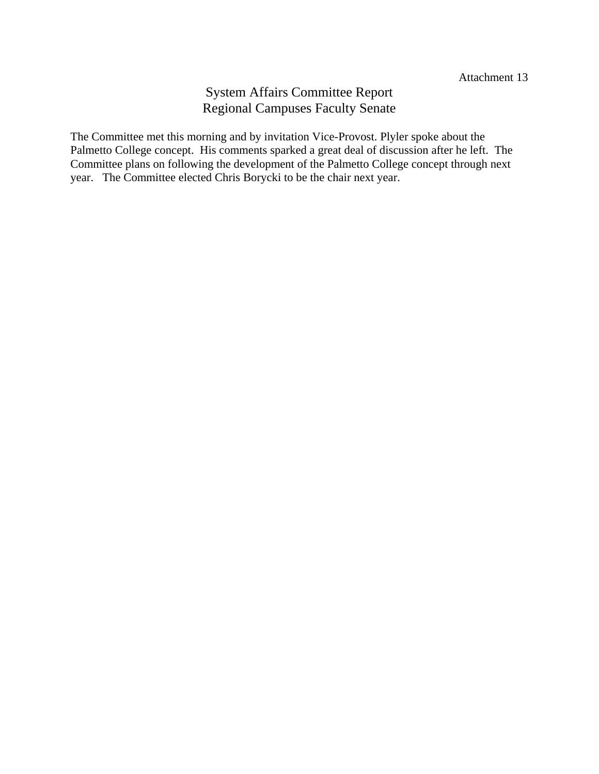## System Affairs Committee Report Regional Campuses Faculty Senate

The Committee met this morning and by invitation Vice-Provost. Plyler spoke about the Palmetto College concept. His comments sparked a great deal of discussion after he left. The Committee plans on following the development of the Palmetto College concept through next year. The Committee elected Chris Borycki to be the chair next year.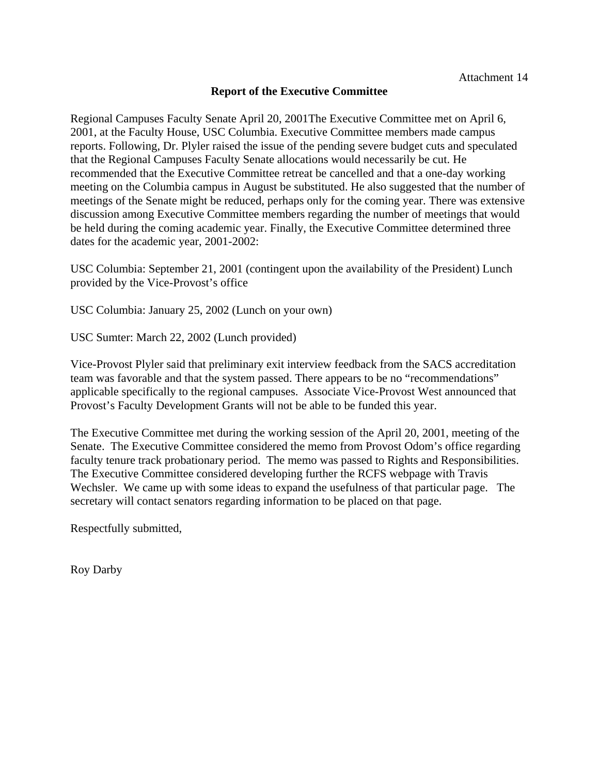#### **Report of the Executive Committee**

Regional Campuses Faculty Senate April 20, 2001The Executive Committee met on April 6, 2001, at the Faculty House, USC Columbia. Executive Committee members made campus reports. Following, Dr. Plyler raised the issue of the pending severe budget cuts and speculated that the Regional Campuses Faculty Senate allocations would necessarily be cut. He recommended that the Executive Committee retreat be cancelled and that a one-day working meeting on the Columbia campus in August be substituted. He also suggested that the number of meetings of the Senate might be reduced, perhaps only for the coming year. There was extensive discussion among Executive Committee members regarding the number of meetings that would be held during the coming academic year. Finally, the Executive Committee determined three dates for the academic year, 2001-2002:

USC Columbia: September 21, 2001 (contingent upon the availability of the President) Lunch provided by the Vice-Provost's office

USC Columbia: January 25, 2002 (Lunch on your own)

USC Sumter: March 22, 2002 (Lunch provided)

Vice-Provost Plyler said that preliminary exit interview feedback from the SACS accreditation team was favorable and that the system passed. There appears to be no "recommendations" applicable specifically to the regional campuses. Associate Vice-Provost West announced that Provost's Faculty Development Grants will not be able to be funded this year.

The Executive Committee met during the working session of the April 20, 2001, meeting of the Senate. The Executive Committee considered the memo from Provost Odom's office regarding faculty tenure track probationary period. The memo was passed to Rights and Responsibilities. The Executive Committee considered developing further the RCFS webpage with Travis Wechsler. We came up with some ideas to expand the usefulness of that particular page. The secretary will contact senators regarding information to be placed on that page.

Respectfully submitted,

Roy Darby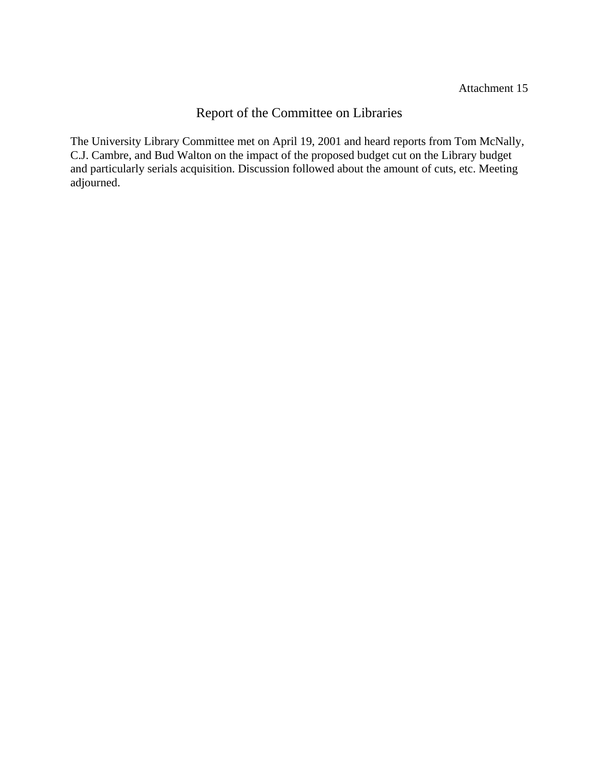## Report of the Committee on Libraries

The University Library Committee met on April 19, 2001 and heard reports from Tom McNally, C.J. Cambre, and Bud Walton on the impact of the proposed budget cut on the Library budget and particularly serials acquisition. Discussion followed about the amount of cuts, etc. Meeting adjourned.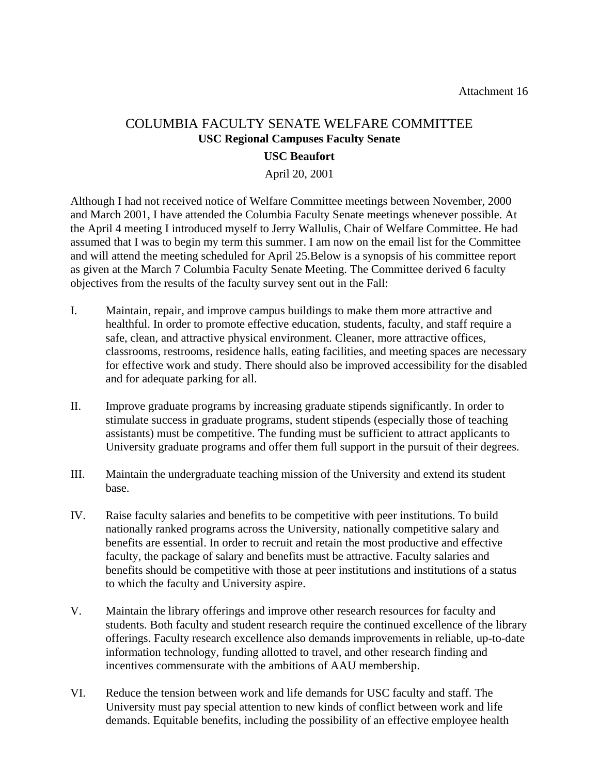## COLUMBIA FACULTY SENATE WELFARE COMMITTEE **USC Regional Campuses Faculty Senate**

#### **USC Beaufort**

April 20, 2001

Although I had not received notice of Welfare Committee meetings between November, 2000 and March 2001, I have attended the Columbia Faculty Senate meetings whenever possible. At the April 4 meeting I introduced myself to Jerry Wallulis, Chair of Welfare Committee. He had assumed that I was to begin my term this summer. I am now on the email list for the Committee and will attend the meeting scheduled for April 25.Below is a synopsis of his committee report as given at the March 7 Columbia Faculty Senate Meeting. The Committee derived 6 faculty objectives from the results of the faculty survey sent out in the Fall:

- I. Maintain, repair, and improve campus buildings to make them more attractive and healthful. In order to promote effective education, students, faculty, and staff require a safe, clean, and attractive physical environment. Cleaner, more attractive offices, classrooms, restrooms, residence halls, eating facilities, and meeting spaces are necessary for effective work and study. There should also be improved accessibility for the disabled and for adequate parking for all.
- II. Improve graduate programs by increasing graduate stipends significantly. In order to stimulate success in graduate programs, student stipends (especially those of teaching assistants) must be competitive. The funding must be sufficient to attract applicants to University graduate programs and offer them full support in the pursuit of their degrees.
- III. Maintain the undergraduate teaching mission of the University and extend its student base.
- IV. Raise faculty salaries and benefits to be competitive with peer institutions. To build nationally ranked programs across the University, nationally competitive salary and benefits are essential. In order to recruit and retain the most productive and effective faculty, the package of salary and benefits must be attractive. Faculty salaries and benefits should be competitive with those at peer institutions and institutions of a status to which the faculty and University aspire.
- V. Maintain the library offerings and improve other research resources for faculty and students. Both faculty and student research require the continued excellence of the library offerings. Faculty research excellence also demands improvements in reliable, up-to-date information technology, funding allotted to travel, and other research finding and incentives commensurate with the ambitions of AAU membership.
- VI. Reduce the tension between work and life demands for USC faculty and staff. The University must pay special attention to new kinds of conflict between work and life demands. Equitable benefits, including the possibility of an effective employee health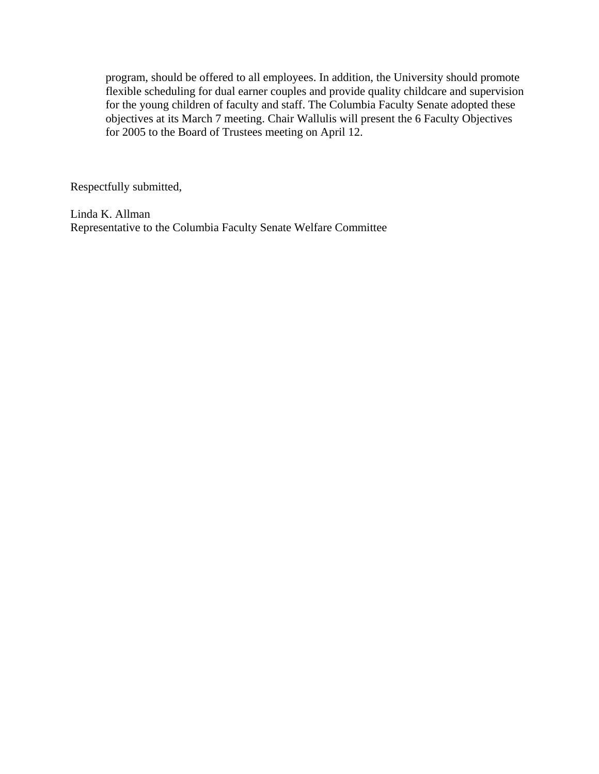program, should be offered to all employees. In addition, the University should promote flexible scheduling for dual earner couples and provide quality childcare and supervision for the young children of faculty and staff. The Columbia Faculty Senate adopted these objectives at its March 7 meeting. Chair Wallulis will present the 6 Faculty Objectives for 2005 to the Board of Trustees meeting on April 12.

Respectfully submitted,

Linda K. Allman Representative to the Columbia Faculty Senate Welfare Committee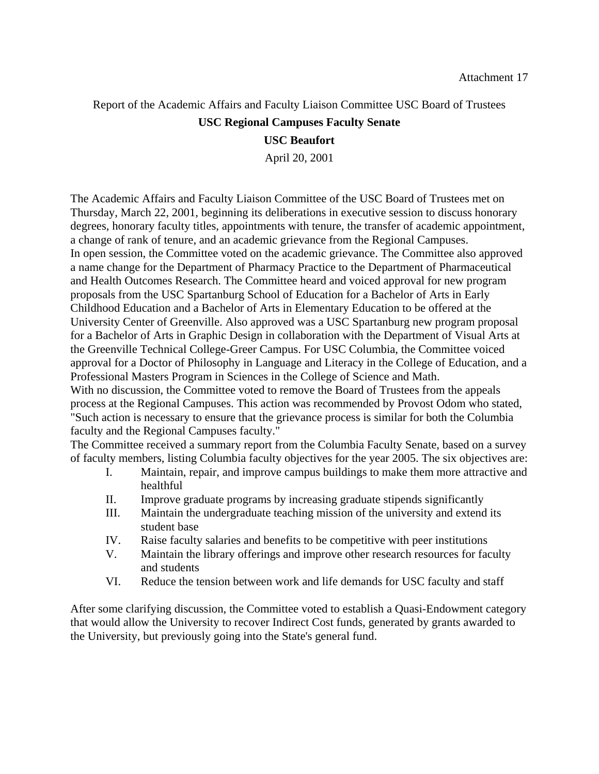## Report of the Academic Affairs and Faculty Liaison Committee USC Board of Trustees

#### **USC Regional Campuses Faculty Senate**

#### **USC Beaufort**

April 20, 2001

The Academic Affairs and Faculty Liaison Committee of the USC Board of Trustees met on Thursday, March 22, 2001, beginning its deliberations in executive session to discuss honorary degrees, honorary faculty titles, appointments with tenure, the transfer of academic appointment, a change of rank of tenure, and an academic grievance from the Regional Campuses. In open session, the Committee voted on the academic grievance. The Committee also approved a name change for the Department of Pharmacy Practice to the Department of Pharmaceutical and Health Outcomes Research. The Committee heard and voiced approval for new program proposals from the USC Spartanburg School of Education for a Bachelor of Arts in Early Childhood Education and a Bachelor of Arts in Elementary Education to be offered at the University Center of Greenville. Also approved was a USC Spartanburg new program proposal for a Bachelor of Arts in Graphic Design in collaboration with the Department of Visual Arts at the Greenville Technical College-Greer Campus. For USC Columbia, the Committee voiced approval for a Doctor of Philosophy in Language and Literacy in the College of Education, and a Professional Masters Program in Sciences in the College of Science and Math.

With no discussion, the Committee voted to remove the Board of Trustees from the appeals process at the Regional Campuses. This action was recommended by Provost Odom who stated, "Such action is necessary to ensure that the grievance process is similar for both the Columbia faculty and the Regional Campuses faculty."

The Committee received a summary report from the Columbia Faculty Senate, based on a survey of faculty members, listing Columbia faculty objectives for the year 2005. The six objectives are:

- I. Maintain, repair, and improve campus buildings to make them more attractive and healthful
- II. Improve graduate programs by increasing graduate stipends significantly
- III. Maintain the undergraduate teaching mission of the university and extend its student base
- IV. Raise faculty salaries and benefits to be competitive with peer institutions
- V. Maintain the library offerings and improve other research resources for faculty and students
- VI. Reduce the tension between work and life demands for USC faculty and staff

After some clarifying discussion, the Committee voted to establish a Quasi-Endowment category that would allow the University to recover Indirect Cost funds, generated by grants awarded to the University, but previously going into the State's general fund.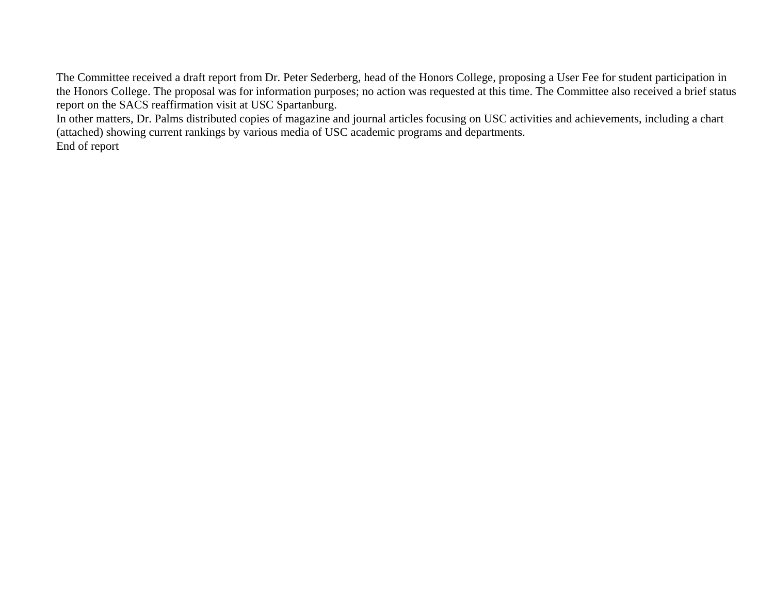The Committee received a draft report from Dr. Peter Sederberg, head of the Honors College, proposing a User Fee for student participation in the Honors College. The proposal was for information purposes; no action was requested at this time. The Committee also received a brief status report on the SACS reaffirmation visit at USC Spartanburg.

In other matters, Dr. Palms distributed copies of magazine and journal articles focusing on USC activities and achievements, including a chart (attached) showing current rankings by various media of USC academic programs and departments. End of report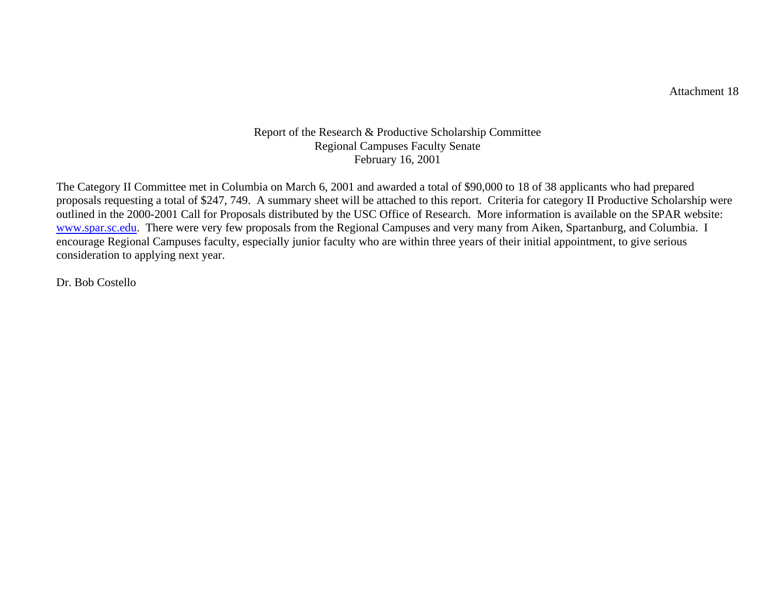Attachment 18

#### Report of the Research & Productive Scholarship Committee Regional Campuses Faculty Senate February 16, 2001

The Category II Committee met in Columbia on March 6, 2001 and awarded a total of \$90,000 to 18 of 38 applicants who had prepared proposals requesting a total of \$247, 749. A summary sheet will be attached to this report. Criteria for category II Productive Scholarship were outlined in the 2000-2001 Call for Proposals distributed by the USC Office of Research. More information is available on the SPAR website: [www.spar.sc.e](http://www.spar.sc.edu/)du. There were very few proposals from the Regional Campuses and very many from Aiken, Spartanburg, and Columbia. I encourage Regional Campuses faculty, especially junior faculty who are within three years of their initial appointment, to give serious consideration to applying next year.

Dr. Bob Costello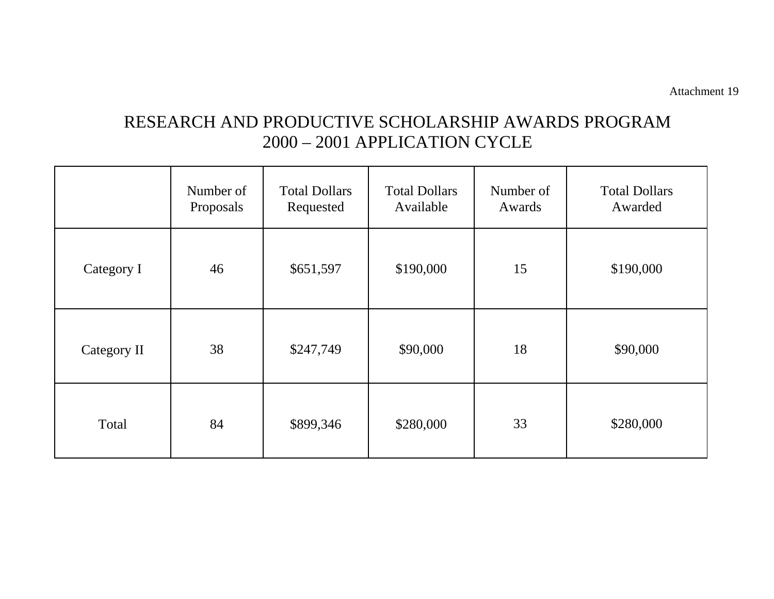# RESEARCH AND PRODUCTIVE SCHOLARSHIP AWARDS PROGRAM 2000 – 2001 APPLICATION CYCLE

|             | Number of<br>Proposals | <b>Total Dollars</b><br>Requested | <b>Total Dollars</b><br>Available | Number of<br>Awards | <b>Total Dollars</b><br>Awarded |
|-------------|------------------------|-----------------------------------|-----------------------------------|---------------------|---------------------------------|
| Category I  | 46                     | \$651,597                         | \$190,000                         | 15                  | \$190,000                       |
| Category II | 38                     | \$247,749                         | \$90,000                          | 18                  | \$90,000                        |
| Total       | 84                     | \$899,346                         | \$280,000                         | 33                  | \$280,000                       |